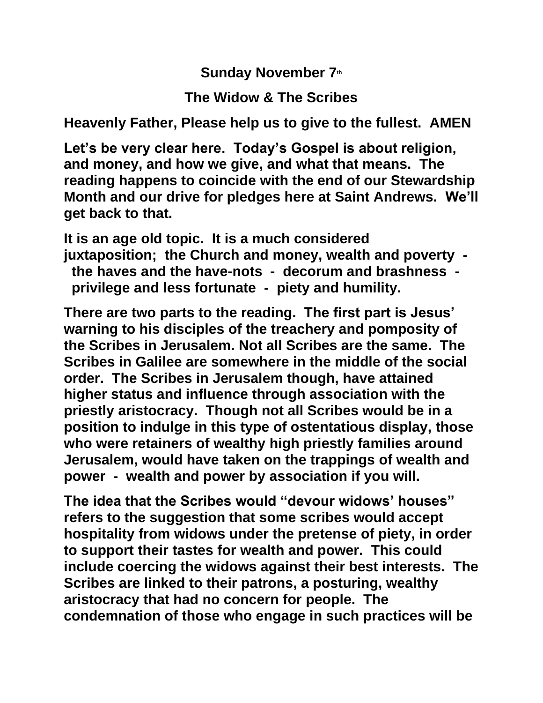**Sunday November 7th**

**The Widow & The Scribes**

**Heavenly Father, Please help us to give to the fullest. AMEN**

**Let's be very clear here. Today's Gospel is about religion, and money, and how we give, and what that means. The reading happens to coincide with the end of our Stewardship Month and our drive for pledges here at Saint Andrews. We'll get back to that.**

**It is an age old topic. It is a much considered juxtaposition; the Church and money, wealth and poverty the haves and the have-nots - decorum and brashness privilege and less fortunate - piety and humility.**

**There are two parts to the reading. The first part is Jesus' warning to his disciples of the treachery and pomposity of the Scribes in Jerusalem. Not all Scribes are the same. The Scribes in Galilee are somewhere in the middle of the social order. The Scribes in Jerusalem though, have attained higher status and influence through association with the priestly aristocracy. Though not all Scribes would be in a position to indulge in this type of ostentatious display, those who were retainers of wealthy high priestly families around Jerusalem, would have taken on the trappings of wealth and power - wealth and power by association if you will.**

**The idea that the Scribes would "devour widows' houses" refers to the suggestion that some scribes would accept hospitality from widows under the pretense of piety, in order to support their tastes for wealth and power. This could include coercing the widows against their best interests. The Scribes are linked to their patrons, a posturing, wealthy aristocracy that had no concern for people. The condemnation of those who engage in such practices will be**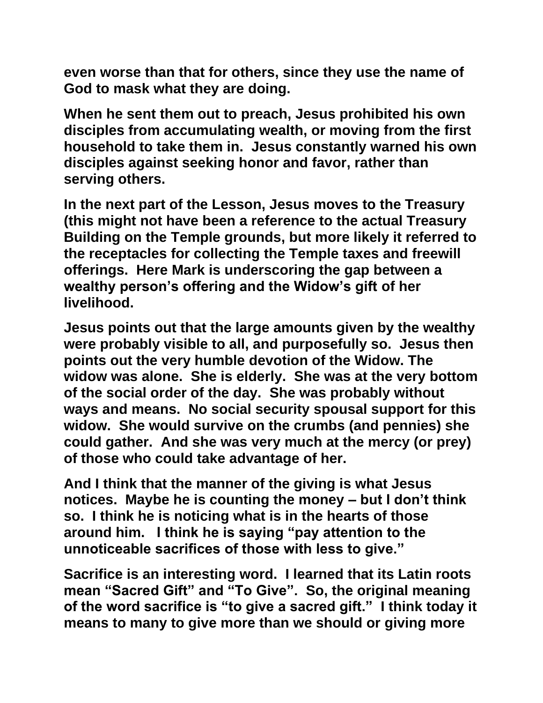**even worse than that for others, since they use the name of God to mask what they are doing.**

**When he sent them out to preach, Jesus prohibited his own disciples from accumulating wealth, or moving from the first household to take them in. Jesus constantly warned his own disciples against seeking honor and favor, rather than serving others.**

**In the next part of the Lesson, Jesus moves to the Treasury (this might not have been a reference to the actual Treasury Building on the Temple grounds, but more likely it referred to the receptacles for collecting the Temple taxes and freewill offerings. Here Mark is underscoring the gap between a wealthy person's offering and the Widow's gift of her livelihood.**

**Jesus points out that the large amounts given by the wealthy were probably visible to all, and purposefully so. Jesus then points out the very humble devotion of the Widow. The widow was alone. She is elderly. She was at the very bottom of the social order of the day. She was probably without ways and means. No social security spousal support for this widow. She would survive on the crumbs (and pennies) she could gather. And she was very much at the mercy (or prey) of those who could take advantage of her.**

**And I think that the manner of the giving is what Jesus notices. Maybe he is counting the money – but I don't think so. I think he is noticing what is in the hearts of those around him. I think he is saying "pay attention to the unnoticeable sacrifices of those with less to give."**

**Sacrifice is an interesting word. I learned that its Latin roots mean "Sacred Gift" and "To Give". So, the original meaning of the word sacrifice is "to give a sacred gift." I think today it means to many to give more than we should or giving more**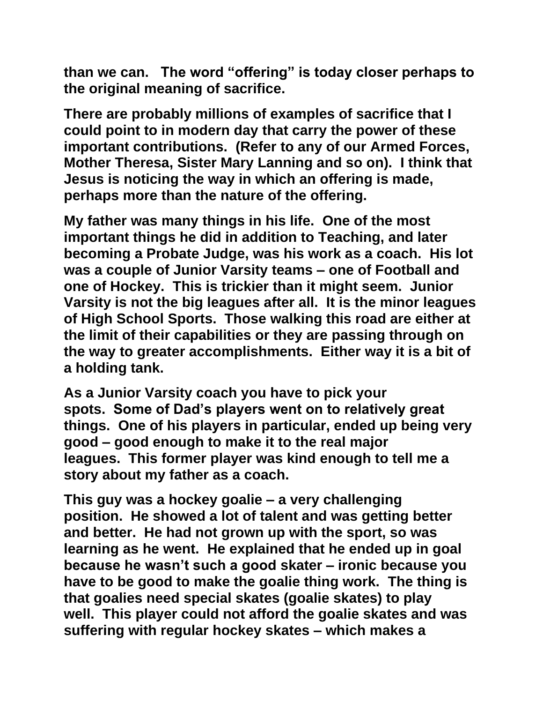**than we can. The word "offering" is today closer perhaps to the original meaning of sacrifice.** 

**There are probably millions of examples of sacrifice that I could point to in modern day that carry the power of these important contributions. (Refer to any of our Armed Forces, Mother Theresa, Sister Mary Lanning and so on). I think that Jesus is noticing the way in which an offering is made, perhaps more than the nature of the offering.**

**My father was many things in his life. One of the most important things he did in addition to Teaching, and later becoming a Probate Judge, was his work as a coach. His lot was a couple of Junior Varsity teams – one of Football and one of Hockey. This is trickier than it might seem. Junior Varsity is not the big leagues after all. It is the minor leagues of High School Sports. Those walking this road are either at the limit of their capabilities or they are passing through on the way to greater accomplishments. Either way it is a bit of a holding tank.**

**As a Junior Varsity coach you have to pick your spots. Some of Dad's players went on to relatively great things. One of his players in particular, ended up being very good – good enough to make it to the real major leagues. This former player was kind enough to tell me a story about my father as a coach.** 

**This guy was a hockey goalie – a very challenging position. He showed a lot of talent and was getting better and better. He had not grown up with the sport, so was learning as he went. He explained that he ended up in goal because he wasn't such a good skater – ironic because you have to be good to make the goalie thing work. The thing is that goalies need special skates (goalie skates) to play well. This player could not afford the goalie skates and was suffering with regular hockey skates – which makes a**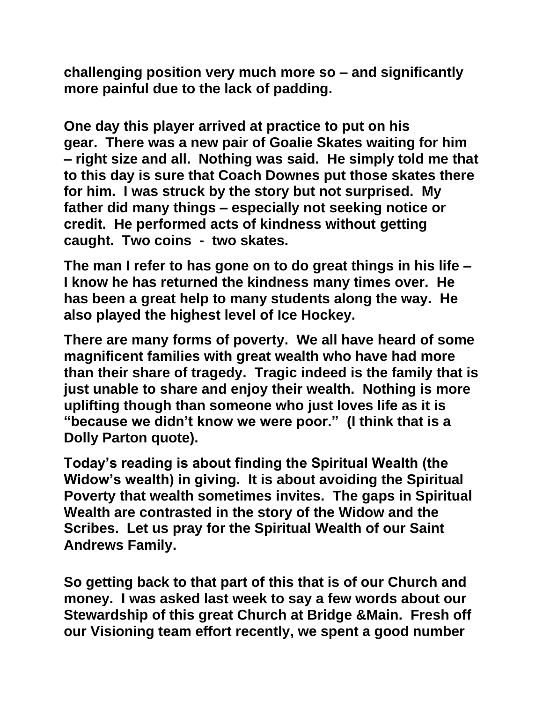**challenging position very much more so – and significantly more painful due to the lack of padding.**

**One day this player arrived at practice to put on his gear. There was a new pair of Goalie Skates waiting for him – right size and all. Nothing was said. He simply told me that to this day is sure that Coach Downes put those skates there for him. I was struck by the story but not surprised. My father did many things – especially not seeking notice or credit. He performed acts of kindness without getting caught. Two coins - two skates.** 

**The man I refer to has gone on to do great things in his life – I know he has returned the kindness many times over. He has been a great help to many students along the way. He also played the highest level of Ice Hockey.** 

**There are many forms of poverty. We all have heard of some magnificent families with great wealth who have had more than their share of tragedy. Tragic indeed is the family that is just unable to share and enjoy their wealth. Nothing is more uplifting though than someone who just loves life as it is "because we didn't know we were poor." (I think that is a Dolly Parton quote).** 

**Today's reading is about finding the Spiritual Wealth (the Widow's wealth) in giving. It is about avoiding the Spiritual Poverty that wealth sometimes invites. The gaps in Spiritual Wealth are contrasted in the story of the Widow and the Scribes. Let us pray for the Spiritual Wealth of our Saint Andrews Family.**

**So getting back to that part of this that is of our Church and money. I was asked last week to say a few words about our Stewardship of this great Church at Bridge &Main. Fresh off our Visioning team effort recently, we spent a good number**